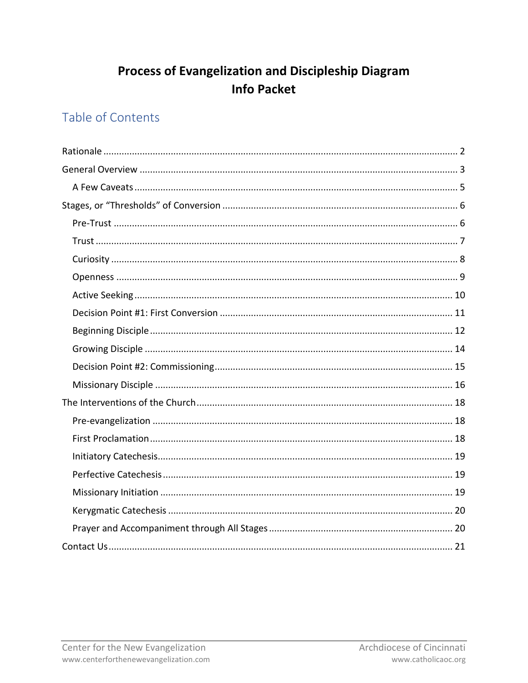# **Process of Evangelization and Discipleship Diagram Info Packet**

# Table of Contents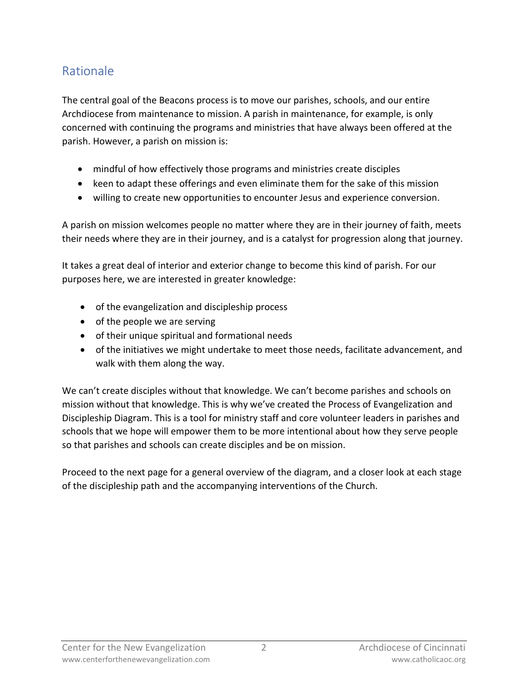# <span id="page-1-0"></span>Rationale

The central goal of the Beacons process is to move our parishes, schools, and our entire Archdiocese from maintenance to mission. A parish in maintenance, for example, is only concerned with continuing the programs and ministries that have always been offered at the parish. However, a parish on mission is:

- mindful of how effectively those programs and ministries create disciples
- keen to adapt these offerings and even eliminate them for the sake of this mission
- willing to create new opportunities to encounter Jesus and experience conversion.

A parish on mission welcomes people no matter where they are in their journey of faith, meets their needs where they are in their journey, and is a catalyst for progression along that journey.

It takes a great deal of interior and exterior change to become this kind of parish. For our purposes here, we are interested in greater knowledge:

- of the evangelization and discipleship process
- of the people we are serving
- of their unique spiritual and formational needs
- of the initiatives we might undertake to meet those needs, facilitate advancement, and walk with them along the way.

We can't create disciples without that knowledge. We can't become parishes and schools on mission without that knowledge. This is why we've created the Process of Evangelization and Discipleship Diagram. This is a tool for ministry staff and core volunteer leaders in parishes and schools that we hope will empower them to be more intentional about how they serve people so that parishes and schools can create disciples and be on mission.

Proceed to the next page for a general overview of the diagram, and a closer look at each stage of the discipleship path and the accompanying interventions of the Church.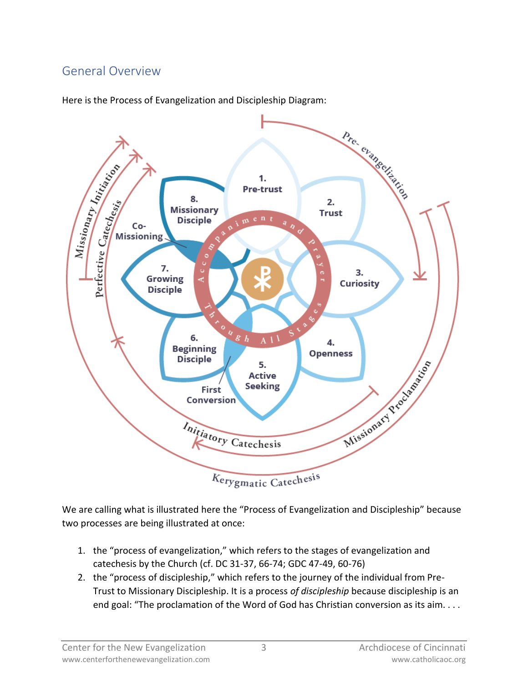# <span id="page-2-0"></span>General Overview

Pre-evangelizeding Missionary Initiation 1. **Pre-trust** Perfective Catechesis 8.  $2.$ **Missionary Trust**  $m e n t$ **Disciple**  $\frac{a}{q}$ Co-**Missioning** 7. 3. Growing **Curiosity Disciple**  $\frac{a}{g}$  $A11$ 6. 4 **Beginning** ess Missionary Reoctors of **Openness Disciple** 5. **Active Seeking** First Conversion Initiatory Catechesis Kerygmatic Catechesis

Here is the Process of Evangelization and Discipleship Diagram:

We are calling what is illustrated here the "Process of Evangelization and Discipleship" because two processes are being illustrated at once:

- 1. the "process of evangelization," which refers to the stages of evangelization and catechesis by the Church (cf. DC 31-37, 66-74; GDC 47-49, 60-76)
- 2. the "process of discipleship," which refers to the journey of the individual from Pre-Trust to Missionary Discipleship. It is a process *of discipleship* because discipleship is an end goal: "The proclamation of the Word of God has Christian conversion as its aim....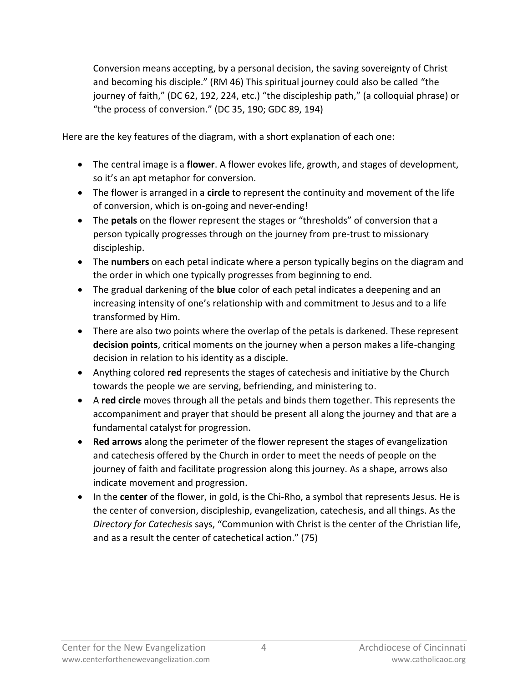Conversion means accepting, by a personal decision, the saving sovereignty of Christ and becoming his disciple." (RM 46) This spiritual journey could also be called "the journey of faith," (DC 62, 192, 224, etc.) "the discipleship path," (a colloquial phrase) or "the process of conversion." (DC 35, 190; GDC 89, 194)

Here are the key features of the diagram, with a short explanation of each one:

- The central image is a **flower**. A flower evokes life, growth, and stages of development, so it's an apt metaphor for conversion.
- The flower is arranged in a **circle** to represent the continuity and movement of the life of conversion, which is on-going and never-ending!
- The **petals** on the flower represent the stages or "thresholds" of conversion that a person typically progresses through on the journey from pre-trust to missionary discipleship.
- The **numbers** on each petal indicate where a person typically begins on the diagram and the order in which one typically progresses from beginning to end.
- The gradual darkening of the **blue** color of each petal indicates a deepening and an increasing intensity of one's relationship with and commitment to Jesus and to a life transformed by Him.
- There are also two points where the overlap of the petals is darkened. These represent **decision points**, critical moments on the journey when a person makes a life-changing decision in relation to his identity as a disciple.
- Anything colored **red** represents the stages of catechesis and initiative by the Church towards the people we are serving, befriending, and ministering to.
- A **red circle** moves through all the petals and binds them together. This represents the accompaniment and prayer that should be present all along the journey and that are a fundamental catalyst for progression.
- **Red arrows** along the perimeter of the flower represent the stages of evangelization and catechesis offered by the Church in order to meet the needs of people on the journey of faith and facilitate progression along this journey. As a shape, arrows also indicate movement and progression.
- In the **center** of the flower, in gold, is the Chi-Rho, a symbol that represents Jesus. He is the center of conversion, discipleship, evangelization, catechesis, and all things. As the *Directory for Catechesis* says, "Communion with Christ is the center of the Christian life, and as a result the center of catechetical action." (75)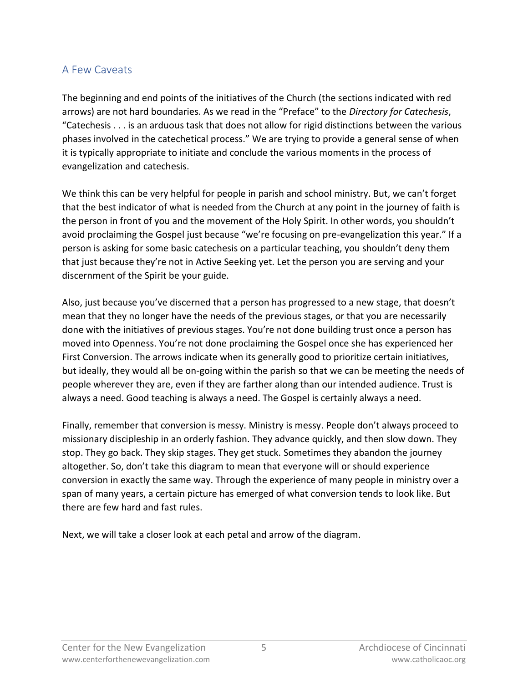### <span id="page-4-0"></span>A Few Caveats

The beginning and end points of the initiatives of the Church (the sections indicated with red arrows) are not hard boundaries. As we read in the "Preface" to the *Directory for Catechesis*, "Catechesis . . . is an arduous task that does not allow for rigid distinctions between the various phases involved in the catechetical process." We are trying to provide a general sense of when it is typically appropriate to initiate and conclude the various moments in the process of evangelization and catechesis.

We think this can be very helpful for people in parish and school ministry. But, we can't forget that the best indicator of what is needed from the Church at any point in the journey of faith is the person in front of you and the movement of the Holy Spirit. In other words, you shouldn't avoid proclaiming the Gospel just because "we're focusing on pre-evangelization this year." If a person is asking for some basic catechesis on a particular teaching, you shouldn't deny them that just because they're not in Active Seeking yet. Let the person you are serving and your discernment of the Spirit be your guide.

Also, just because you've discerned that a person has progressed to a new stage, that doesn't mean that they no longer have the needs of the previous stages, or that you are necessarily done with the initiatives of previous stages. You're not done building trust once a person has moved into Openness. You're not done proclaiming the Gospel once she has experienced her First Conversion. The arrows indicate when its generally good to prioritize certain initiatives, but ideally, they would all be on-going within the parish so that we can be meeting the needs of people wherever they are, even if they are farther along than our intended audience. Trust is always a need. Good teaching is always a need. The Gospel is certainly always a need.

Finally, remember that conversion is messy. Ministry is messy. People don't always proceed to missionary discipleship in an orderly fashion. They advance quickly, and then slow down. They stop. They go back. They skip stages. They get stuck. Sometimes they abandon the journey altogether. So, don't take this diagram to mean that everyone will or should experience conversion in exactly the same way. Through the experience of many people in ministry over a span of many years, a certain picture has emerged of what conversion tends to look like. But there are few hard and fast rules.

Next, we will take a closer look at each petal and arrow of the diagram.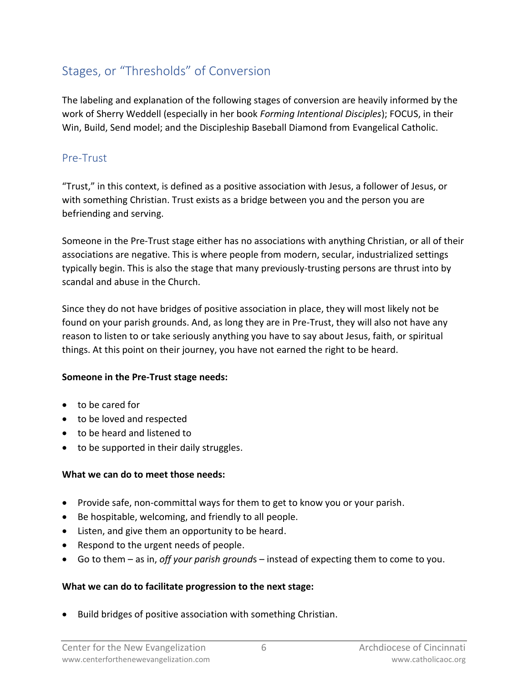# <span id="page-5-0"></span>Stages, or "Thresholds" of Conversion

The labeling and explanation of the following stages of conversion are heavily informed by the work of Sherry Weddell (especially in her book *Forming Intentional Disciples*); FOCUS, in their Win, Build, Send model; and the Discipleship Baseball Diamond from Evangelical Catholic.

## <span id="page-5-1"></span>Pre-Trust

"Trust," in this context, is defined as a positive association with Jesus, a follower of Jesus, or with something Christian. Trust exists as a bridge between you and the person you are befriending and serving.

Someone in the Pre-Trust stage either has no associations with anything Christian, or all of their associations are negative. This is where people from modern, secular, industrialized settings typically begin. This is also the stage that many previously-trusting persons are thrust into by scandal and abuse in the Church.

Since they do not have bridges of positive association in place, they will most likely not be found on your parish grounds. And, as long they are in Pre-Trust, they will also not have any reason to listen to or take seriously anything you have to say about Jesus, faith, or spiritual things. At this point on their journey, you have not earned the right to be heard.

#### **Someone in the Pre-Trust stage needs:**

- to be cared for
- to be loved and respected
- to be heard and listened to
- to be supported in their daily struggles.

### **What we can do to meet those needs:**

- Provide safe, non-committal ways for them to get to know you or your parish.
- Be hospitable, welcoming, and friendly to all people.
- Listen, and give them an opportunity to be heard.
- Respond to the urgent needs of people.
- Go to them as in, *off your parish ground*s instead of expecting them to come to you.

### **What we can do to facilitate progression to the next stage:**

• Build bridges of positive association with something Christian.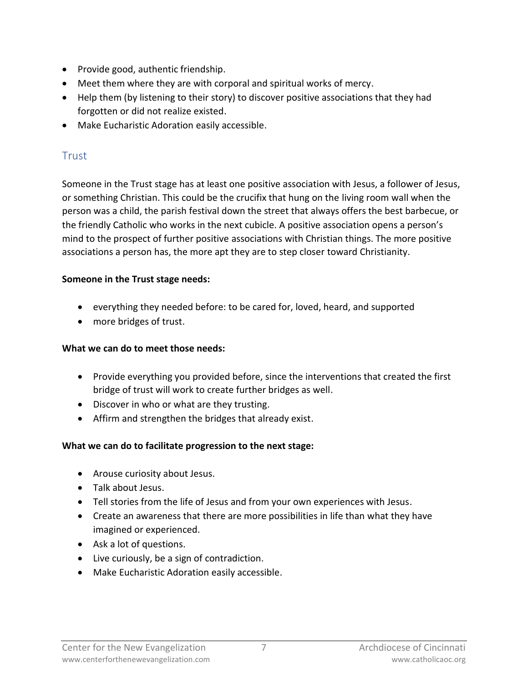- Provide good, authentic friendship.
- Meet them where they are with corporal and spiritual works of mercy.
- Help them (by listening to their story) to discover positive associations that they had forgotten or did not realize existed.
- Make Eucharistic Adoration easily accessible.

## <span id="page-6-0"></span>Trust

Someone in the Trust stage has at least one positive association with Jesus, a follower of Jesus, or something Christian. This could be the crucifix that hung on the living room wall when the person was a child, the parish festival down the street that always offers the best barbecue, or the friendly Catholic who works in the next cubicle. A positive association opens a person's mind to the prospect of further positive associations with Christian things. The more positive associations a person has, the more apt they are to step closer toward Christianity.

### **Someone in the Trust stage needs:**

- everything they needed before: to be cared for, loved, heard, and supported
- more bridges of trust.

### **What we can do to meet those needs:**

- Provide everything you provided before, since the interventions that created the first bridge of trust will work to create further bridges as well.
- Discover in who or what are they trusting.
- Affirm and strengthen the bridges that already exist.

### **What we can do to facilitate progression to the next stage:**

- Arouse curiosity about Jesus.
- Talk about Jesus.
- Tell stories from the life of Jesus and from your own experiences with Jesus.
- Create an awareness that there are more possibilities in life than what they have imagined or experienced.
- Ask a lot of questions.
- Live curiously, be a sign of contradiction.
- Make Eucharistic Adoration easily accessible.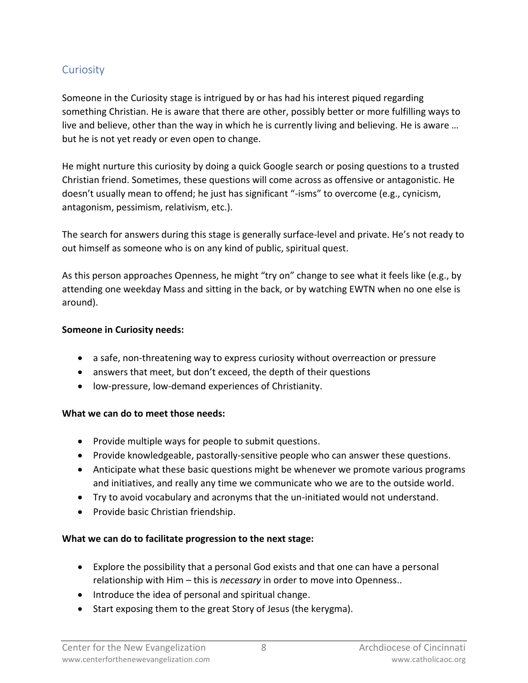### <span id="page-7-0"></span>**Curiosity**

Someone in the Curiosity stage is intrigued by or has had his interest piqued regarding something Christian. He is aware that there are other, possibly better or more fulfilling ways to live and believe, other than the way in which he is currently living and believing. He is aware … but he is not yet ready or even open to change.

He might nurture this curiosity by doing a quick Google search or posing questions to a trusted Christian friend. Sometimes, these questions will come across as offensive or antagonistic. He doesn't usually mean to offend; he just has significant "-isms" to overcome (e.g., cynicism, antagonism, pessimism, relativism, etc.).

The search for answers during this stage is generally surface-level and private. He's not ready to out himself as someone who is on any kind of public, spiritual quest.

As this person approaches Openness, he might "try on" change to see what it feels like (e.g., by attending one weekday Mass and sitting in the back, or by watching EWTN when no one else is around).

#### **Someone in Curiosity needs:**

- a safe, non-threatening way to express curiosity without overreaction or pressure
- answers that meet, but don't exceed, the depth of their questions
- low-pressure, low-demand experiences of Christianity.

#### **What we can do to meet those needs:**

- Provide multiple ways for people to submit questions.
- Provide knowledgeable, pastorally-sensitive people who can answer these questions.
- Anticipate what these basic questions might be whenever we promote various programs and initiatives, and really any time we communicate who we are to the outside world.
- Try to avoid vocabulary and acronyms that the un-initiated would not understand.
- Provide basic Christian friendship.

#### **What we can do to facilitate progression to the next stage:**

- Explore the possibility that a personal God exists and that one can have a personal relationship with Him – this is *necessary* in order to move into Openness..
- Introduce the idea of personal and spiritual change.
- Start exposing them to the great Story of Jesus (the kerygma).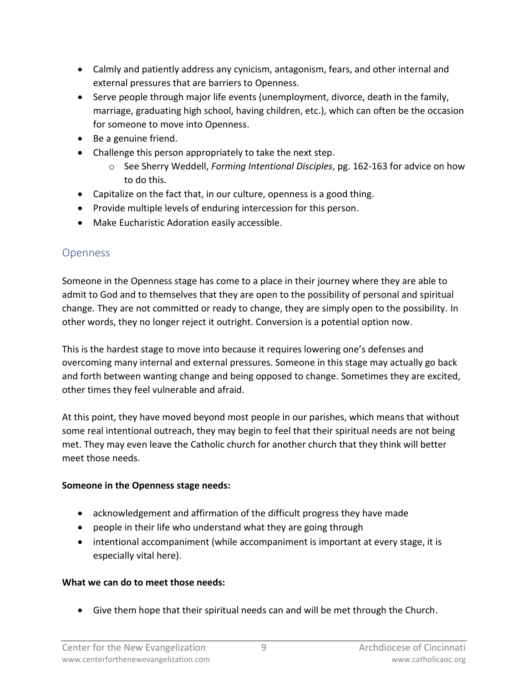- Calmly and patiently address any cynicism, antagonism, fears, and other internal and external pressures that are barriers to Openness.
- Serve people through major life events (unemployment, divorce, death in the family, marriage, graduating high school, having children, etc.), which can often be the occasion for someone to move into Openness.
- Be a genuine friend.
- Challenge this person appropriately to take the next step.
	- o See Sherry Weddell, *Forming Intentional Disciples*, pg. 162-163 for advice on how to do this.
- Capitalize on the fact that, in our culture, openness is a good thing.
- Provide multiple levels of enduring intercession for this person.
- Make Eucharistic Adoration easily accessible.

## <span id="page-8-0"></span>**Openness**

Someone in the Openness stage has come to a place in their journey where they are able to admit to God and to themselves that they are open to the possibility of personal and spiritual change. They are not committed or ready to change, they are simply open to the possibility. In other words, they no longer reject it outright. Conversion is a potential option now.

This is the hardest stage to move into because it requires lowering one's defenses and overcoming many internal and external pressures. Someone in this stage may actually go back and forth between wanting change and being opposed to change. Sometimes they are excited, other times they feel vulnerable and afraid.

At this point, they have moved beyond most people in our parishes, which means that without some real intentional outreach, they may begin to feel that their spiritual needs are not being met. They may even leave the Catholic church for another church that they think will better meet those needs.

### **Someone in the Openness stage needs:**

- acknowledgement and affirmation of the difficult progress they have made
- people in their life who understand what they are going through
- intentional accompaniment (while accompaniment is important at every stage, it is especially vital here).

### **What we can do to meet those needs:**

• Give them hope that their spiritual needs can and will be met through the Church.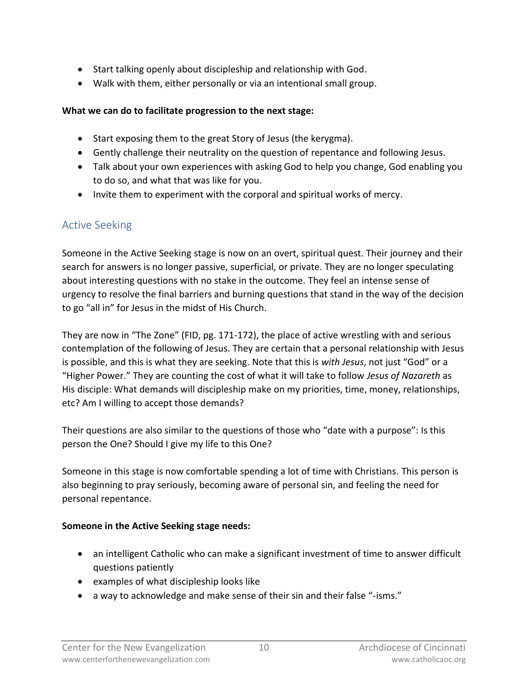- Start talking openly about discipleship and relationship with God.
- Walk with them, either personally or via an intentional small group.

### **What we can do to facilitate progression to the next stage:**

- Start exposing them to the great Story of Jesus (the kerygma).
- Gently challenge their neutrality on the question of repentance and following Jesus.
- Talk about your own experiences with asking God to help you change, God enabling you to do so, and what that was like for you.
- Invite them to experiment with the corporal and spiritual works of mercy.

## <span id="page-9-0"></span>Active Seeking

Someone in the Active Seeking stage is now on an overt, spiritual quest. Their journey and their search for answers is no longer passive, superficial, or private. They are no longer speculating about interesting questions with no stake in the outcome. They feel an intense sense of urgency to resolve the final barriers and burning questions that stand in the way of the decision to go "all in" for Jesus in the midst of His Church.

They are now in "The Zone" (FID, pg. 171-172), the place of active wrestling with and serious contemplation of the following of Jesus. They are certain that a personal relationship with Jesus is possible, and this is what they are seeking. Note that this is *with Jesus*, not just "God" or a "Higher Power." They are counting the cost of what it will take to follow *Jesus of Nazareth* as His disciple: What demands will discipleship make on my priorities, time, money, relationships, etc? Am I willing to accept those demands?

Their questions are also similar to the questions of those who "date with a purpose": Is this person the One? Should I give my life to this One?

Someone in this stage is now comfortable spending a lot of time with Christians. This person is also beginning to pray seriously, becoming aware of personal sin, and feeling the need for personal repentance.

### **Someone in the Active Seeking stage needs:**

- an intelligent Catholic who can make a significant investment of time to answer difficult questions patiently
- examples of what discipleship looks like
- a way to acknowledge and make sense of their sin and their false "-isms."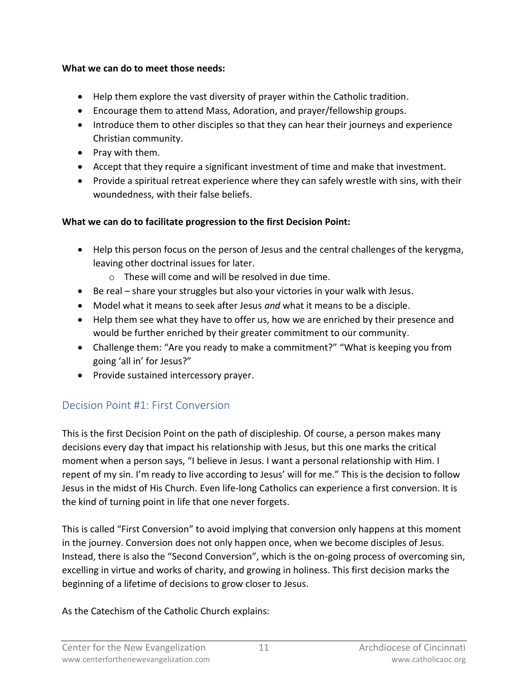#### **What we can do to meet those needs:**

- Help them explore the vast diversity of prayer within the Catholic tradition.
- Encourage them to attend Mass, Adoration, and prayer/fellowship groups.
- Introduce them to other disciples so that they can hear their journeys and experience Christian community.
- Pray with them.
- Accept that they require a significant investment of time and make that investment.
- Provide a spiritual retreat experience where they can safely wrestle with sins, with their woundedness, with their false beliefs.

### **What we can do to facilitate progression to the first Decision Point:**

- Help this person focus on the person of Jesus and the central challenges of the kerygma, leaving other doctrinal issues for later.
	- o These will come and will be resolved in due time.
- Be real share your struggles but also your victories in your walk with Jesus.
- Model what it means to seek after Jesus *and* what it means to be a disciple.
- Help them see what they have to offer us, how we are enriched by their presence and would be further enriched by their greater commitment to our community.
- Challenge them: "Are you ready to make a commitment?" "What is keeping you from going 'all in' for Jesus?"
- Provide sustained intercessory prayer.

# <span id="page-10-0"></span>Decision Point #1: First Conversion

This is the first Decision Point on the path of discipleship. Of course, a person makes many decisions every day that impact his relationship with Jesus, but this one marks the critical moment when a person says, "I believe in Jesus. I want a personal relationship with Him. I repent of my sin. I'm ready to live according to Jesus' will for me." This is the decision to follow Jesus in the midst of His Church. Even life-long Catholics can experience a first conversion. It is the kind of turning point in life that one never forgets.

This is called "First Conversion" to avoid implying that conversion only happens at this moment in the journey. Conversion does not only happen once, when we become disciples of Jesus. Instead, there is also the "Second Conversion", which is the on-going process of overcoming sin, excelling in virtue and works of charity, and growing in holiness. This first decision marks the beginning of a lifetime of decisions to grow closer to Jesus.

As the Catechism of the Catholic Church explains: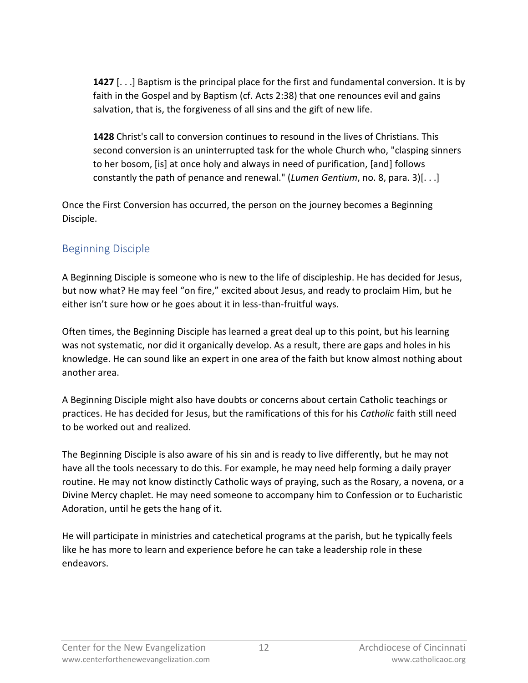**1427** [. . .] Baptism is the principal place for the first and fundamental conversion. It is by faith in the Gospel and by Baptism (cf. Acts 2:38) that one renounces evil and gains salvation, that is, the forgiveness of all sins and the gift of new life.

**1428** Christ's call to conversion continues to resound in the lives of Christians. This second conversion is an uninterrupted task for the whole Church who, "clasping sinners to her bosom, [is] at once holy and always in need of purification, [and] follows constantly the path of penance and renewal." (*Lumen Gentium*, no. 8, para. 3)[. . .]

Once the First Conversion has occurred, the person on the journey becomes a Beginning Disciple.

### <span id="page-11-0"></span>Beginning Disciple

A Beginning Disciple is someone who is new to the life of discipleship. He has decided for Jesus, but now what? He may feel "on fire," excited about Jesus, and ready to proclaim Him, but he either isn't sure how or he goes about it in less-than-fruitful ways.

Often times, the Beginning Disciple has learned a great deal up to this point, but his learning was not systematic, nor did it organically develop. As a result, there are gaps and holes in his knowledge. He can sound like an expert in one area of the faith but know almost nothing about another area.

A Beginning Disciple might also have doubts or concerns about certain Catholic teachings or practices. He has decided for Jesus, but the ramifications of this for his *Catholic* faith still need to be worked out and realized.

The Beginning Disciple is also aware of his sin and is ready to live differently, but he may not have all the tools necessary to do this. For example, he may need help forming a daily prayer routine. He may not know distinctly Catholic ways of praying, such as the Rosary, a novena, or a Divine Mercy chaplet. He may need someone to accompany him to Confession or to Eucharistic Adoration, until he gets the hang of it.

He will participate in ministries and catechetical programs at the parish, but he typically feels like he has more to learn and experience before he can take a leadership role in these endeavors.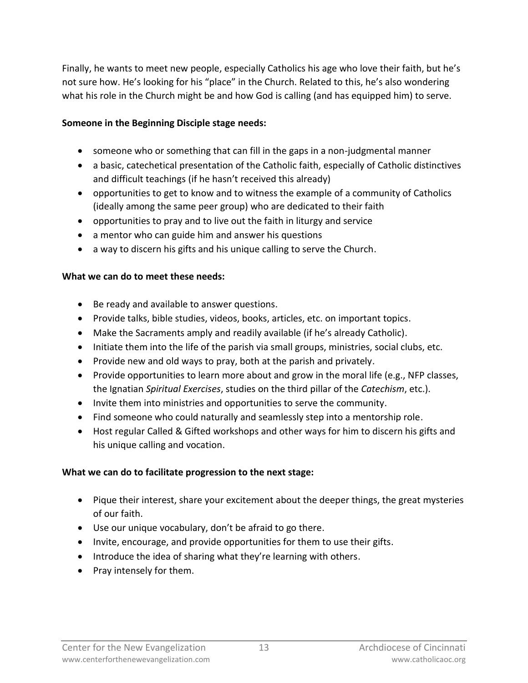Finally, he wants to meet new people, especially Catholics his age who love their faith, but he's not sure how. He's looking for his "place" in the Church. Related to this, he's also wondering what his role in the Church might be and how God is calling (and has equipped him) to serve.

#### **Someone in the Beginning Disciple stage needs:**

- someone who or something that can fill in the gaps in a non-judgmental manner
- a basic, catechetical presentation of the Catholic faith, especially of Catholic distinctives and difficult teachings (if he hasn't received this already)
- opportunities to get to know and to witness the example of a community of Catholics (ideally among the same peer group) who are dedicated to their faith
- opportunities to pray and to live out the faith in liturgy and service
- a mentor who can guide him and answer his questions
- a way to discern his gifts and his unique calling to serve the Church.

### **What we can do to meet these needs:**

- Be ready and available to answer questions.
- Provide talks, bible studies, videos, books, articles, etc. on important topics.
- Make the Sacraments amply and readily available (if he's already Catholic).
- Initiate them into the life of the parish via small groups, ministries, social clubs, etc.
- Provide new and old ways to pray, both at the parish and privately.
- Provide opportunities to learn more about and grow in the moral life (e.g., NFP classes, the Ignatian *Spiritual Exercises*, studies on the third pillar of the *Catechism*, etc.).
- Invite them into ministries and opportunities to serve the community.
- Find someone who could naturally and seamlessly step into a mentorship role.
- Host regular Called & Gifted workshops and other ways for him to discern his gifts and his unique calling and vocation.

### **What we can do to facilitate progression to the next stage:**

- Pique their interest, share your excitement about the deeper things, the great mysteries of our faith.
- Use our unique vocabulary, don't be afraid to go there.
- Invite, encourage, and provide opportunities for them to use their gifts.
- Introduce the idea of sharing what they're learning with others.
- Pray intensely for them.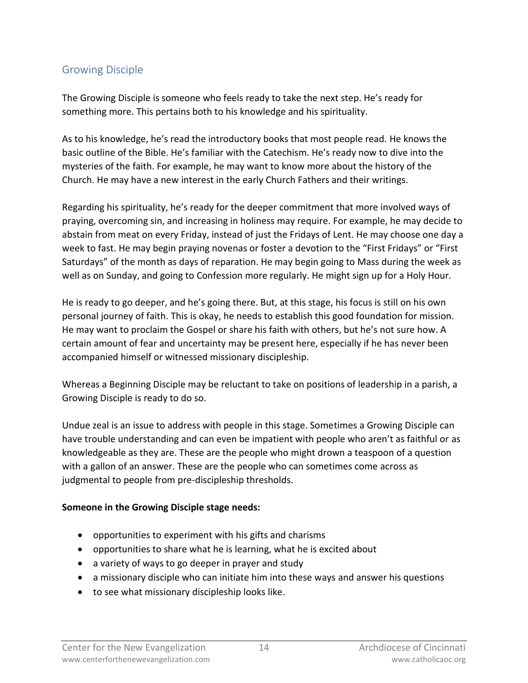### <span id="page-13-0"></span>Growing Disciple

The Growing Disciple is someone who feels ready to take the next step. He's ready for something more. This pertains both to his knowledge and his spirituality.

As to his knowledge, he's read the introductory books that most people read. He knows the basic outline of the Bible. He's familiar with the Catechism. He's ready now to dive into the mysteries of the faith. For example, he may want to know more about the history of the Church. He may have a new interest in the early Church Fathers and their writings.

Regarding his spirituality, he's ready for the deeper commitment that more involved ways of praying, overcoming sin, and increasing in holiness may require. For example, he may decide to abstain from meat on every Friday, instead of just the Fridays of Lent. He may choose one day a week to fast. He may begin praying novenas or foster a devotion to the "First Fridays" or "First Saturdays" of the month as days of reparation. He may begin going to Mass during the week as well as on Sunday, and going to Confession more regularly. He might sign up for a Holy Hour.

He is ready to go deeper, and he's going there. But, at this stage, his focus is still on his own personal journey of faith. This is okay, he needs to establish this good foundation for mission. He may want to proclaim the Gospel or share his faith with others, but he's not sure how. A certain amount of fear and uncertainty may be present here, especially if he has never been accompanied himself or witnessed missionary discipleship.

Whereas a Beginning Disciple may be reluctant to take on positions of leadership in a parish, a Growing Disciple is ready to do so.

Undue zeal is an issue to address with people in this stage. Sometimes a Growing Disciple can have trouble understanding and can even be impatient with people who aren't as faithful or as knowledgeable as they are. These are the people who might drown a teaspoon of a question with a gallon of an answer. These are the people who can sometimes come across as judgmental to people from pre-discipleship thresholds.

#### **Someone in the Growing Disciple stage needs:**

- opportunities to experiment with his gifts and charisms
- opportunities to share what he is learning, what he is excited about
- a variety of ways to go deeper in prayer and study
- a missionary disciple who can initiate him into these ways and answer his questions
- to see what missionary discipleship looks like.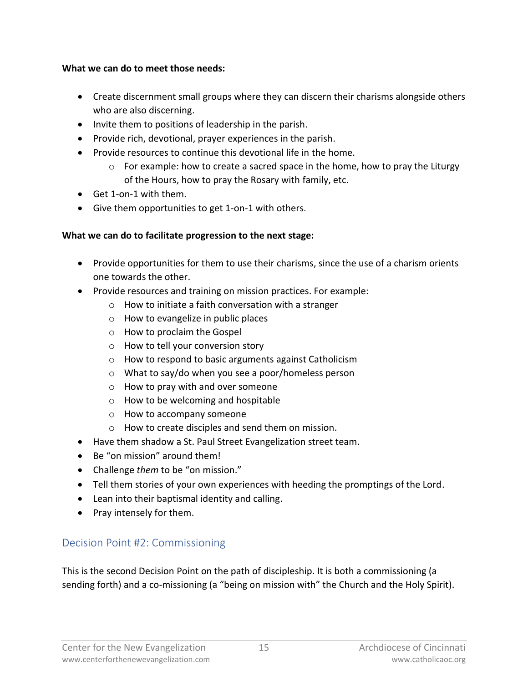#### **What we can do to meet those needs:**

- Create discernment small groups where they can discern their charisms alongside others who are also discerning.
- Invite them to positions of leadership in the parish.
- Provide rich, devotional, prayer experiences in the parish.
- Provide resources to continue this devotional life in the home.
	- o For example: how to create a sacred space in the home, how to pray the Liturgy of the Hours, how to pray the Rosary with family, etc.
- Get 1-on-1 with them.
- Give them opportunities to get 1-on-1 with others.

#### **What we can do to facilitate progression to the next stage:**

- Provide opportunities for them to use their charisms, since the use of a charism orients one towards the other.
- Provide resources and training on mission practices. For example:
	- o How to initiate a faith conversation with a stranger
	- o How to evangelize in public places
	- o How to proclaim the Gospel
	- o How to tell your conversion story
	- o How to respond to basic arguments against Catholicism
	- o What to say/do when you see a poor/homeless person
	- o How to pray with and over someone
	- o How to be welcoming and hospitable
	- o How to accompany someone
	- o How to create disciples and send them on mission.
- Have them shadow a St. Paul Street Evangelization street team.
- Be "on mission" around them!
- Challenge *them* to be "on mission."
- Tell them stories of your own experiences with heeding the promptings of the Lord.
- Lean into their baptismal identity and calling.
- Pray intensely for them.

# <span id="page-14-0"></span>Decision Point #2: Commissioning

This is the second Decision Point on the path of discipleship. It is both a commissioning (a sending forth) and a co-missioning (a "being on mission with" the Church and the Holy Spirit).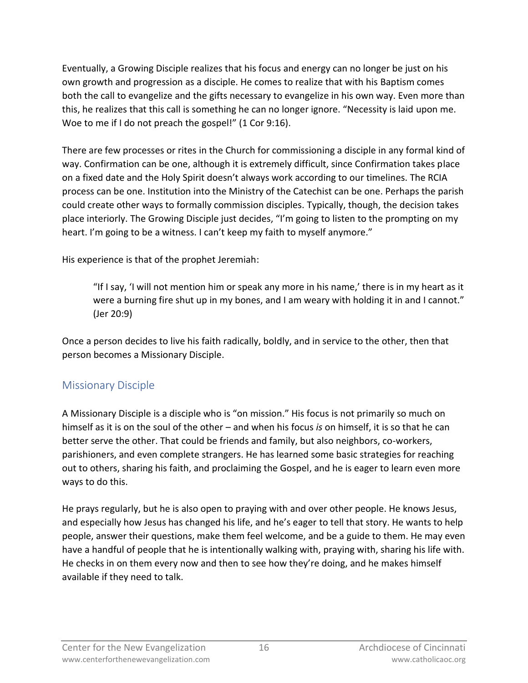Eventually, a Growing Disciple realizes that his focus and energy can no longer be just on his own growth and progression as a disciple. He comes to realize that with his Baptism comes both the call to evangelize and the gifts necessary to evangelize in his own way. Even more than this, he realizes that this call is something he can no longer ignore. "Necessity is laid upon me. Woe to me if I do not preach the gospel!" (1 Cor 9:16).

There are few processes or rites in the Church for commissioning a disciple in any formal kind of way. Confirmation can be one, although it is extremely difficult, since Confirmation takes place on a fixed date and the Holy Spirit doesn't always work according to our timelines. The RCIA process can be one. Institution into the Ministry of the Catechist can be one. Perhaps the parish could create other ways to formally commission disciples. Typically, though, the decision takes place interiorly. The Growing Disciple just decides, "I'm going to listen to the prompting on my heart. I'm going to be a witness. I can't keep my faith to myself anymore."

His experience is that of the prophet Jeremiah:

"If I say, 'I will not mention him or speak any more in his name,' there is in my heart as it were a burning fire shut up in my bones, and I am weary with holding it in and I cannot." (Jer 20:9)

Once a person decides to live his faith radically, boldly, and in service to the other, then that person becomes a Missionary Disciple.

### <span id="page-15-0"></span>Missionary Disciple

A Missionary Disciple is a disciple who is "on mission." His focus is not primarily so much on himself as it is on the soul of the other – and when his focus *is* on himself, it is so that he can better serve the other. That could be friends and family, but also neighbors, co-workers, parishioners, and even complete strangers. He has learned some basic strategies for reaching out to others, sharing his faith, and proclaiming the Gospel, and he is eager to learn even more ways to do this.

He prays regularly, but he is also open to praying with and over other people. He knows Jesus, and especially how Jesus has changed his life, and he's eager to tell that story. He wants to help people, answer their questions, make them feel welcome, and be a guide to them. He may even have a handful of people that he is intentionally walking with, praying with, sharing his life with. He checks in on them every now and then to see how they're doing, and he makes himself available if they need to talk.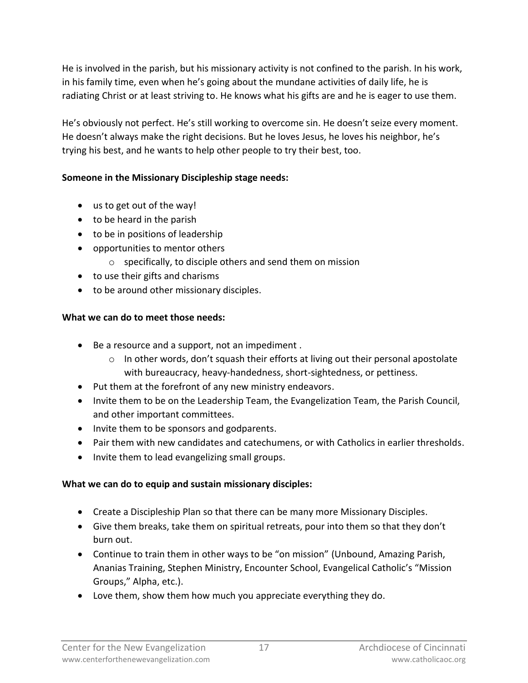He is involved in the parish, but his missionary activity is not confined to the parish. In his work, in his family time, even when he's going about the mundane activities of daily life, he is radiating Christ or at least striving to. He knows what his gifts are and he is eager to use them.

He's obviously not perfect. He's still working to overcome sin. He doesn't seize every moment. He doesn't always make the right decisions. But he loves Jesus, he loves his neighbor, he's trying his best, and he wants to help other people to try their best, too.

### **Someone in the Missionary Discipleship stage needs:**

- us to get out of the way!
- to be heard in the parish
- to be in positions of leadership
- opportunities to mentor others
	- o specifically, to disciple others and send them on mission
- to use their gifts and charisms
- to be around other missionary disciples.

### **What we can do to meet those needs:**

- Be a resource and a support, not an impediment .
	- $\circ$  In other words, don't squash their efforts at living out their personal apostolate with bureaucracy, heavy-handedness, short-sightedness, or pettiness.
- Put them at the forefront of any new ministry endeavors.
- Invite them to be on the Leadership Team, the Evangelization Team, the Parish Council, and other important committees.
- Invite them to be sponsors and godparents.
- Pair them with new candidates and catechumens, or with Catholics in earlier thresholds.
- Invite them to lead evangelizing small groups.

### **What we can do to equip and sustain missionary disciples:**

- Create a Discipleship Plan so that there can be many more Missionary Disciples.
- Give them breaks, take them on spiritual retreats, pour into them so that they don't burn out.
- Continue to train them in other ways to be "on mission" (Unbound, Amazing Parish, Ananias Training, Stephen Ministry, Encounter School, Evangelical Catholic's "Mission Groups," Alpha, etc.).
- Love them, show them how much you appreciate everything they do.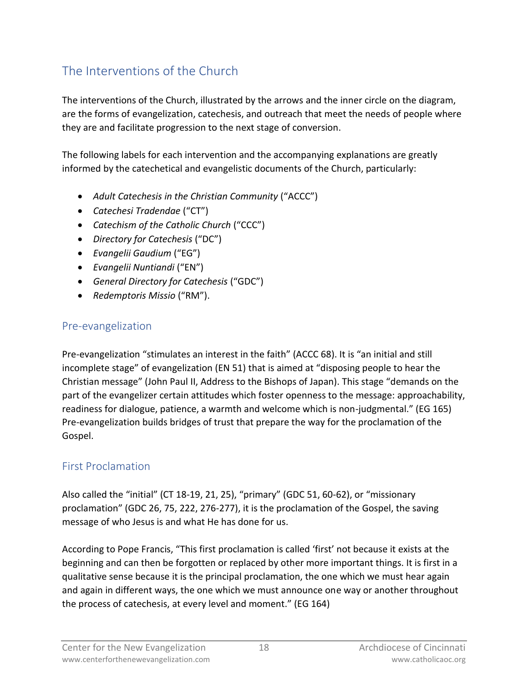# <span id="page-17-0"></span>The Interventions of the Church

The interventions of the Church, illustrated by the arrows and the inner circle on the diagram, are the forms of evangelization, catechesis, and outreach that meet the needs of people where they are and facilitate progression to the next stage of conversion.

The following labels for each intervention and the accompanying explanations are greatly informed by the catechetical and evangelistic documents of the Church, particularly:

- *Adult Catechesis in the Christian Community* ("ACCC")
- *Catechesi Tradendae* ("CT")
- *Catechism of the Catholic Church* ("CCC")
- *Directory for Catechesis* ("DC")
- *Evangelii Gaudium* ("EG")
- *Evangelii Nuntiandi* ("EN")
- *General Directory for Catechesis* ("GDC")
- *Redemptoris Missio* ("RM").

### <span id="page-17-1"></span>Pre-evangelization

Pre-evangelization "stimulates an interest in the faith" (ACCC 68). It is "an initial and still incomplete stage" of evangelization (EN 51) that is aimed at "disposing people to hear the Christian message" (John Paul II, Address to the Bishops of Japan). This stage "demands on the part of the evangelizer certain attitudes which foster openness to the message: approachability, readiness for dialogue, patience, a warmth and welcome which is non-judgmental." (EG 165) Pre-evangelization builds bridges of trust that prepare the way for the proclamation of the Gospel.

### <span id="page-17-2"></span>First Proclamation

Also called the "initial" (CT 18-19, 21, 25), "primary" (GDC 51, 60-62), or "missionary proclamation" (GDC 26, 75, 222, 276-277), it is the proclamation of the Gospel, the saving message of who Jesus is and what He has done for us.

According to Pope Francis, "This first proclamation is called 'first' not because it exists at the beginning and can then be forgotten or replaced by other more important things. It is first in a qualitative sense because it is the principal proclamation, the one which we must hear again and again in different ways, the one which we must announce one way or another throughout the process of catechesis, at every level and moment." (EG 164)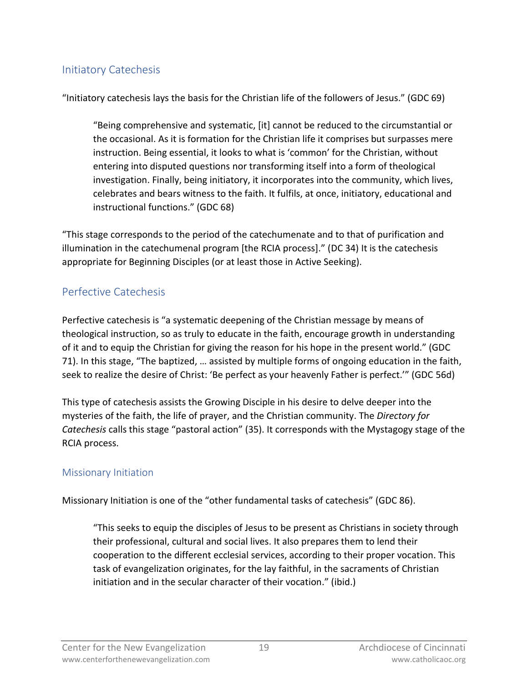### <span id="page-18-0"></span>Initiatory Catechesis

"Initiatory catechesis lays the basis for the Christian life of the followers of Jesus." (GDC 69)

"Being comprehensive and systematic, [it] cannot be reduced to the circumstantial or the occasional. As it is formation for the Christian life it comprises but surpasses mere instruction. Being essential, it looks to what is 'common' for the Christian, without entering into disputed questions nor transforming itself into a form of theological investigation. Finally, being initiatory, it incorporates into the community, which lives, celebrates and bears witness to the faith. It fulfils, at once, initiatory, educational and instructional functions." (GDC 68)

"This stage corresponds to the period of the catechumenate and to that of purification and illumination in the catechumenal program [the RCIA process]." (DC 34) It is the catechesis appropriate for Beginning Disciples (or at least those in Active Seeking).

## <span id="page-18-1"></span>Perfective Catechesis

Perfective catechesis is "a systematic deepening of the Christian message by means of theological instruction, so as truly to educate in the faith, encourage growth in understanding of it and to equip the Christian for giving the reason for his hope in the present world." (GDC 71). In this stage, "The baptized, … assisted by multiple forms of ongoing education in the faith, seek to realize the desire of Christ: 'Be perfect as your heavenly Father is perfect.'" (GDC 56d)

This type of catechesis assists the Growing Disciple in his desire to delve deeper into the mysteries of the faith, the life of prayer, and the Christian community. The *Directory for Catechesis* calls this stage "pastoral action" (35). It corresponds with the Mystagogy stage of the RCIA process.

### <span id="page-18-2"></span>Missionary Initiation

Missionary Initiation is one of the "other fundamental tasks of catechesis" (GDC 86).

"This seeks to equip the disciples of Jesus to be present as Christians in society through their professional, cultural and social lives. It also prepares them to lend their cooperation to the different ecclesial services, according to their proper vocation. This task of evangelization originates, for the lay faithful, in the sacraments of Christian initiation and in the secular character of their vocation." (ibid.)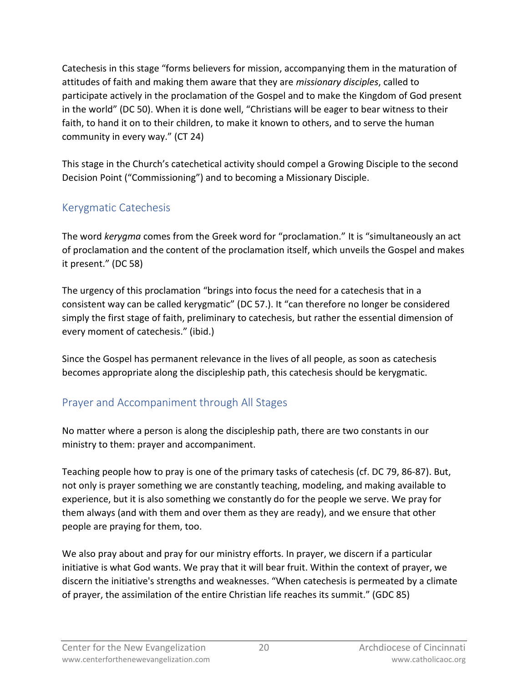Catechesis in this stage "forms believers for mission, accompanying them in the maturation of attitudes of faith and making them aware that they are *missionary disciples*, called to participate actively in the proclamation of the Gospel and to make the Kingdom of God present in the world" (DC 50). When it is done well, "Christians will be eager to bear witness to their faith, to hand it on to their children, to make it known to others, and to serve the human community in every way." (CT 24)

This stage in the Church's catechetical activity should compel a Growing Disciple to the second Decision Point ("Commissioning") and to becoming a Missionary Disciple.

## <span id="page-19-0"></span>Kerygmatic Catechesis

The word *kerygma* comes from the Greek word for "proclamation." It is "simultaneously an act of proclamation and the content of the proclamation itself, which unveils the Gospel and makes it present." (DC 58)

The urgency of this proclamation "brings into focus the need for a catechesis that in a consistent way can be called kerygmatic" (DC 57.). It "can therefore no longer be considered simply the first stage of faith, preliminary to catechesis, but rather the essential dimension of every moment of catechesis." (ibid.)

Since the Gospel has permanent relevance in the lives of all people, as soon as catechesis becomes appropriate along the discipleship path, this catechesis should be kerygmatic.

# <span id="page-19-1"></span>Prayer and Accompaniment through All Stages

No matter where a person is along the discipleship path, there are two constants in our ministry to them: prayer and accompaniment.

Teaching people how to pray is one of the primary tasks of catechesis (cf. DC 79, 86-87). But, not only is prayer something we are constantly teaching, modeling, and making available to experience, but it is also something we constantly do for the people we serve. We pray for them always (and with them and over them as they are ready), and we ensure that other people are praying for them, too.

We also pray about and pray for our ministry efforts. In prayer, we discern if a particular initiative is what God wants. We pray that it will bear fruit. Within the context of prayer, we discern the initiative's strengths and weaknesses. "When catechesis is permeated by a climate of prayer, the assimilation of the entire Christian life reaches its summit." (GDC 85)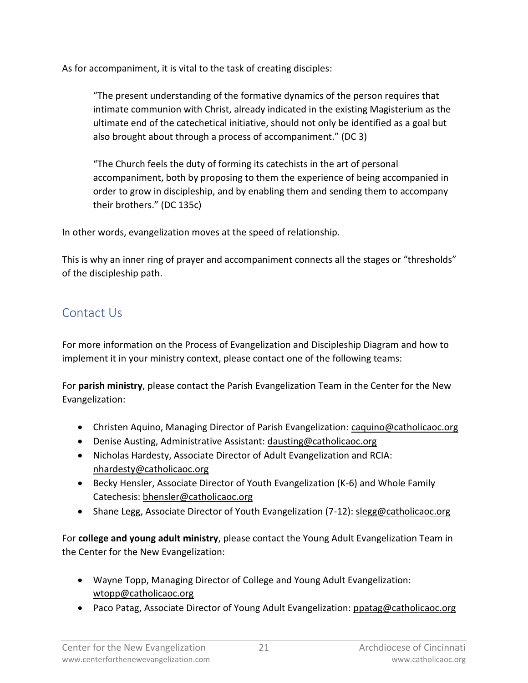As for accompaniment, it is vital to the task of creating disciples:

"The present understanding of the formative dynamics of the person requires that intimate communion with Christ, already indicated in the existing Magisterium as the ultimate end of the catechetical initiative, should not only be identified as a goal but also brought about through a process of accompaniment." (DC 3)

"The Church feels the duty of forming its catechists in the art of personal accompaniment, both by proposing to them the experience of being accompanied in order to grow in discipleship, and by enabling them and sending them to accompany their brothers." (DC 135c)

In other words, evangelization moves at the speed of relationship.

This is why an inner ring of prayer and accompaniment connects all the stages or "thresholds" of the discipleship path.

# <span id="page-20-0"></span>Contact Us

For more information on the Process of Evangelization and Discipleship Diagram and how to implement it in your ministry context, please contact one of the following teams:

For **parish ministry**, please contact the Parish Evangelization Team in the Center for the New Evangelization:

- Christen Aquino, Managing Director of Parish Evangelization: [caquino@catholicaoc.org](mailto:caquino@catholicaoc.org)
- Denise Austing, Administrative Assistant: [dausting@catholicaoc.org](mailto:dausting@catholicaoc.org)
- Nicholas Hardesty, Associate Director of Adult Evangelization and RCIA: [nhardesty@catholicaoc.org](mailto:nhardesty@catholicaoc.org)
- Becky Hensler, Associate Director of Youth Evangelization (K-6) and Whole Family Catechesis: [bhensler@catholicaoc.org](mailto:bhensler@catholicaoc.org)
- Shane Legg, Associate Director of Youth Evangelization (7-12): [slegg@catholicaoc.org](mailto:slegg@catholicaoc.org)

For **college and young adult ministry**, please contact the Young Adult Evangelization Team in the Center for the New Evangelization:

- Wayne Topp, Managing Director of College and Young Adult Evangelization: [wtopp@catholicaoc.org](mailto:wtopp@catholicaoc.org)
- Paco Patag, Associate Director of Young Adult Evangelization: [ppatag@catholicaoc.org](mailto:ppatag@catholicaoc.org)